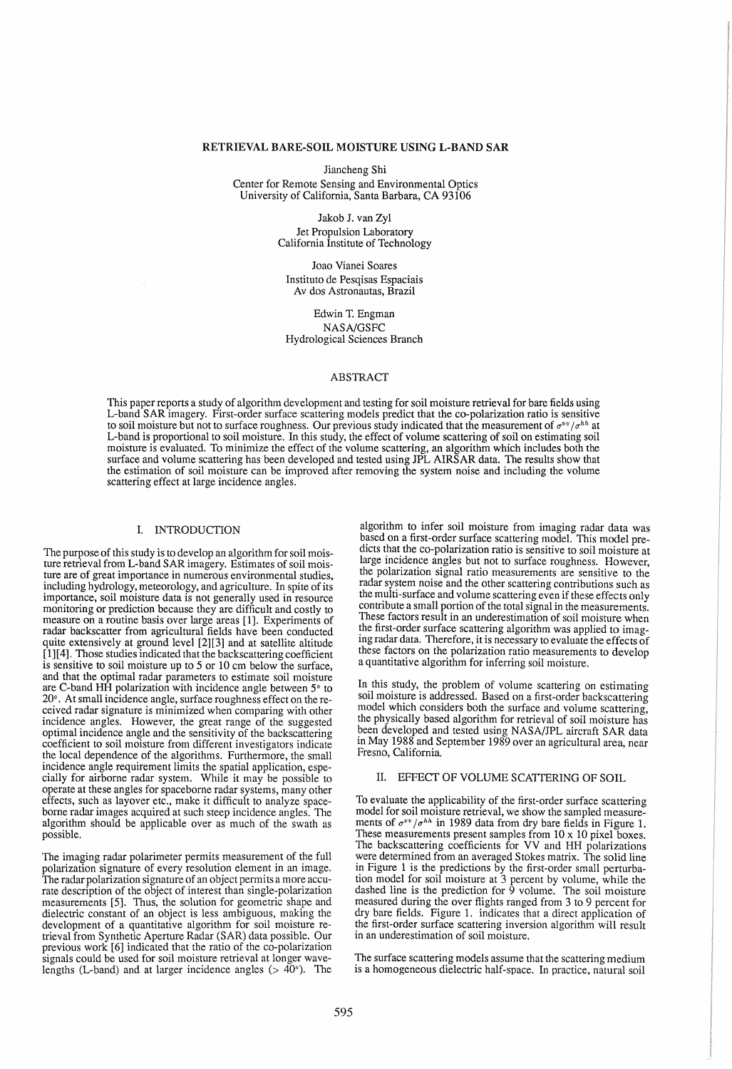## RETRIEVAL BARE-SOIL MOISTURE USING L-BAND SAR

Jiancheng Shi

Center for Remote Sensing and Environmental Optics University of California, Santa Barbara, CA 93106

> Jakob 1. van Zyl Jet Propulsion Laboratory California Institute of Technology

Joao Vianei Soares Instituto de Pesqisas Espaciais Av dos Astronautas, Brazil

Edwin T. Engman *NASNGSFC*  Hydrological Sciences Branch

### ABSTRACT

This paper reports a study of algorithm development and testing for soil moisture retrieval for bare fields using L-band SAR imagery. First-order surface scattering models predict that the co-polarization ratio is sensitive to soil moisture but not to surface roughness. Our previous study indicated that the measurement of  $\sigma^{vv}/\sigma^{hh}$  at L-band is proportional to soil moisture. In this study, the effect of volume scattering of soil on estimating soil moisture is evaluated. To minimize the effect of the volume scattering, an algorithm which includes both the surface and volume scattering has been developed and tested using JPL AIRSAR data. The results show that the estimation of soil moisture can be improved after removing the system noise and including the volume scattering effect at large incidence angles.

#### I. INTRODUCTION

The purpose of this study is to develop an algorithm for soil moisture retrieval from L-band SAR imagery. Estimates of soil moisture are of great importance in numerous environmental studies, including hydrology, meteorology, and agriculture. In spite of its importance, soil moisture data is not generally used in resource monitoring or prediction because they are difficult and costly to measure on a routine basis over large areas [1]. Experiments of radar backscatter from agricultural fields have been conducted quite extensively at ground level [2][3] and at satellite altitude [1] [4]. Those studies indicated that the backscattering coefficient is sensitive to soil moisture up to 5 or 10 cm below the surface. and that the optimal radar parameters to estimate soil moisture are C-band HH polarization with incidence angle between 5° to 20°. At small incidence angle, surface roughness effect on the received radar signature is minimized when comparing with other incidence angles. However, the great range of the suggested optimal incidence angle and the sensitivity of the backscattering coefficient to soil moisture from different investigators indicate the local dependence of the algorithms. Furthermore, the small incidence angle requirement limits the spatial application, especially for airborne radar system. While it may be possible to operate at these angles for spaceborne radar systems, many other effects, such as layover etc., make it difficult to analyze spaceborne radar images acquired at such steep incidence angles. The algorithm should be applicable over as much of the swath as possible.

The imaging radar polarimeter permits measurement of the full polarization signature of every resolution element in an image. The radar polarization signature of an object permits a more accurate description of the object of interest than single-polarization measurements [5]. Thus, the solution for geometric shape and dielectric constant of an object is less ambiguous, making the development of a quantitative algorithm for soil moisture retrieval from Synthetic Aperture Radar (SAR) data possible. Our previous work [6] indicated that the ratio of the co-polarization signals could be used for soil moisture retrieval at longer wavelengths (L-band) and at larger incidence angles ( $> 40^{\circ}$ ). The

algorithm to infer soil moisture from imaging radar data was based on a first-order surface scattering model. This model predicts that the co-polarization ratio is sensitive to soil moisture at large incidence angles but not to surface roughness. However, the polarization signal ratio measurements are sensitive to the radar system noise and the other scattering contributions such as the multi-surface and volume scattering even if these effects only contribute a small portion of the total signal in the measurements. These factors result in an underestimation of soil moisture when the first-order surface scattering algorithm was applied to imagmg radar data. Therefore, it is necessary to evaluate the effects of these factors on the polarization ratio measurements to develop a quantitative algorithm for inferring soil moisture.

In this study, the problem of volume scattering on estimating soil moisture is addressed. Based on a first-order backscattering model which considers both the surface and volume scattering, the phYSIcally based algorithm for retrieval of soil moisture has been developed and tested using NASA/JPL aircraft SAR data in May 1988 and September 1989 over an agricultural area, near Fresno, California.

### II. EFFECT OF VOLUME SCATIERING OF SOIL

To evaluate the applicability of the first-order surface scattering model for soil moisture retrieval, we show the sampled measure-<br>ments of  $\sigma^{vv}/\sigma^{hh}$  in 1989 data from dry bare fields in Figure 1. These measurements present samples from 10 x 10 pixel boxes. The backscattering coefficients for VV and HH polarizations were determined from an averaged Stokes matrix. The solid line in Figure 1 is the predictions by the first-order small perturbation model for soil moisture at 3 percent by volume, while the dashed line is the prediction for 9 volume. The soil moisture measured during the over flights ranged from 3 to 9 percent for dry bare fields. Figure 1. indicates that a direct application of the first-order surface scattering inversion algorithm will result in an underestimation of soil moisture.

The surface scattering models assume that the scattering medium is a homogeneous dielectric half-space. In practice, natural soil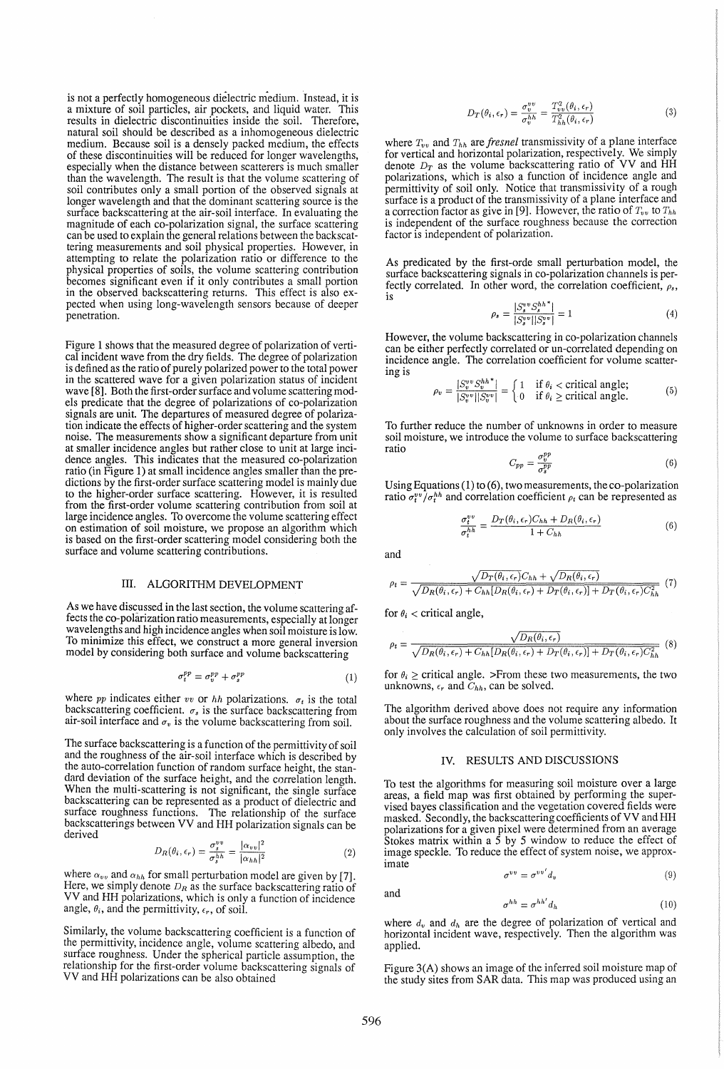is not a perfectly homogeneous dielectric medium. Instead, it is a mixture of soil particles, air pockets, and liquid water. This results in dielectric discontinuities inside the soil. Therefore, natural soil should be described as a inhomogeneous dielectric medium. Because soil is a densely packed medium, the effects of these discontinuities will be reduced for longer wavelengths, especially when the distance between scatterers is much smaller than the wavelength. The result is that the volume scattering of soil contributes only a small portion of the observed signals at longer wavelength and that the dominant scattering source is the surface backscattering at the air-soil interface. In evaluating the magnitude of each co-polarization signal, the surface scattering can be used to explain the general relations between the backscattering measurements and soil physical properties. However, in attempting to relate the polarization ratio or difference to the physical properties of soils, the volume scattering contribution becomes significant even if it only contributes a small portion in the observed backscattering returns. This effect is also expected when using long-wavelength sensors because of deeper penetration.

Figure 1 shows that the measured degree of polarization of vertical incident wave from the dry fields. The degree of polarization is defined as the ratio of purely polarized power to the total power in the scattered wave for a given polarization status of incident wave [8]. Both the first-order surface and volume scattering models predicate that the degree of polarizations of co-polarization signals are unit. The departures of measured degree of polarization indicate the effects of higher-order scattering and the system noise. The measurements show a significant departure from unit at smaller incidence angles but rather close to unit at large incidence angles. This indicates that the measured co-polarization ratio (in Figure 1) at small incidence angles smaller than the predictions by the first-order surface scattering model is mainly due to the higher-order surface scattering. However, it is resulted from the first-order volume scattering contribution from soil at large incidence angles. To overcome the volume scattering effect on estimation of soil moisture, we propose an algorithm which is based on the first-order scattering model considering both the surface and volume scattering contributions.

### III. ALGORITHM DEVELOPMENT

As we have discussed in the last section, the volume scattering affects the co-polarization ratio measurements, especially at longer wavelengths and high incidence angles when soil moisture is low. To minimize this effect, we construct a more general inversion model by considering both surface and volume backscattering

$$
\sigma_t^{pp} = \sigma_v^{pp} + \sigma_s^{pp} \tag{1}
$$

where  $pp$  indicates either  $vv$  or  $hh$  polarizations.  $\sigma_t$  is the total backscattering coefficient.  $\sigma_s$  is the surface backscattering from air-soil interface and  $\sigma_v$  is the volume backscattering from soil.

The surface backscattering is a function of the permittivity of soil and the roughness of the air-soil interface which is described by the auto-correlation function of random surface height, the standard deviation of the surface height, and the correlation length. When the multi-scattering is not significant, the single surface backscattering can be represented as a product of dielectric and surface roughness functions. The relationship of the surface<br>surface roughness functions. backscatterings between VV and HH polarization signals can be derived

$$
D_R(\theta_i, \epsilon_r) = \frac{\sigma_s^{vv}}{\sigma_s^{hh}} = \frac{|\alpha_{vv}|^2}{|\alpha_{hh}|^2}
$$
 (2)

where  $\alpha_{vv}$  and  $\alpha_{hh}$  for small perturbation model are given by [7]. Here, we simply denote  $D_R$  as the surface backscattering ratio of VV and HH polarizations, which is only a function of incidence angle,  $\theta_i$ , and the permittivity,  $\epsilon_r$ , of soil.

Similarly, the volume backscattering coefficient is a function of the permittivity, incidence angle, volume scattering albedo, and surface roughness. Under the spherical particle assumption, the relationship for the first-order volume backscattering signals of VV and HH polarizations can be also obtained

$$
D_T(\theta_i, \epsilon_r) = \frac{\sigma_v^{vv}}{\sigma_v^{hh}} = \frac{T_{vv}^2(\theta_i, \epsilon_r)}{T_{hh}^2(\theta_i, \epsilon_r)}
$$
(3)

where  $T_{vv}$  and  $T_{hh}$  are *fresnel* transmissivity of a plane interface for vertical and horizontal polarization, respectively. We simply denote  $D_T$  as the volume backscattering ratio of VV and HH polarizations, which is also a function of incidence angle and permittivity of soil only. Notice that transmissivity of a rough surface is a product of the transmissivity of a plane interface and a correction factor as give in [9]. However, the ratio of  $T_{vv}$  to  $T_{hh}$ is independent of the surface roughness because the correction factor is independent of polarization.

As predicated by the first-orde small perturbation model, the surface backscattering signals in co-polarization channels is perfectly correlated. In other word, the correlation coefficient,  $\rho_s$ , is

$$
\rho_s = \frac{|S_s^{vv} S_s^{hh*}|}{|S_s^{vv}| |S_s^{vv}|} = 1\tag{4}
$$

However, the volume backscattering in co-polarization channels can be either perfectly correlated or un-correlated depending on incidence angle. The correlation coefficient for volume scattering is

$$
\rho_v = \frac{|S_v^{v} S_v^{v} S_v^{hh*}|}{|S_v^{v} v||S_v^{v} v|} = \begin{cases} 1 & \text{if } \theta_i < \text{critical angle;}\\ 0 & \text{if } \theta_i \ge \text{critical angle.} \end{cases}
$$
(5)

To further reduce the number of unknowns in order to measure soil moisture, we introduce the volume to surface backscattering ratio

$$
C_{pp} = \frac{\sigma_v^{pp}}{\sigma_s^{pp}} \tag{6}
$$

Using Equations (1) to (6), two measurements, the co-polarization ratio  $\sigma_t^{vv} / \sigma_t^{hh}$  and correlation coefficient  $\rho_t$  can be represented as

$$
\frac{\sigma_t^{vv}}{\sigma_t^{hh}} = \frac{D_T(\theta_i, \epsilon_r) C_{hh} + D_R(\theta_i, \epsilon_r)}{1 + C_{hh}}
$$
(6)

and

$$
\rho_t = \frac{\sqrt{D_T(\theta_i, \epsilon_r)} C_{hh} + \sqrt{D_R(\theta_i, \epsilon_r)}}{\sqrt{D_R(\theta_i, \epsilon_r)} + C_{hh} [D_R(\theta_i, \epsilon_r) + D_T(\theta_i, \epsilon_r)] + D_T(\theta_i, \epsilon_r) C_{hh}^2}
$$
(7)

for  $\theta_i$  < critical angle,

$$
\rho_t = \frac{\sqrt{D_R(\theta_i, \epsilon_r)}}{\sqrt{D_R(\theta_i, \epsilon_r) + C_{hh}[D_R(\theta_i, \epsilon_r) + D_T(\theta_i, \epsilon_r)] + D_T(\theta_i, \epsilon_r)C_{hh}^2}} \tag{8}
$$

for  $\theta_i \ge$  critical angle. >From these two measurements, the two unknowns,  $\epsilon_r$  and  $C_{hh}$ , can be solved.

The algorithm derived above does not require any information about the surface roughness and the volume scattering albedo. It only involves the calculation of soil permittivity.

## IV. RESULTS AND DISCUSSIONS

To test the algorithms for measuring soil moisture over a large areas, a field map was first obtained by performing the supervised bayes classification and the vegetation covered fields were masked. Secondly, the backscattering coefficients of VV and HH polarizations for a given pixel were determined from an average Stokes matrix within a  $\bar{5}$  by 5 window to reduce the effect of image speckle. To reduce the effect of system noise, we approximate

$$
\sigma^{vv} = \sigma^{vv'} d_v \tag{9}
$$

and

 $\sigma^{hh}=\sigma^{hh'}d_h$ (10)

where d*v* and d*h* are the degree of polarization of vertical and horizontal incident wave, respectively. Then the algorithm was applied.

Figure 3(A) shows an image of the inferred soil moisture map of the study sites from SAR data. This map was produced using an